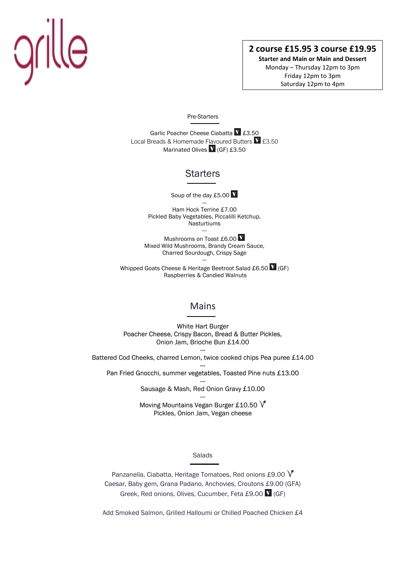# grille

# **2 course £15.95 3 course £19.95**

**Starter and Main or Main and Dessert** Monday – Thursday 12pm to 3pm Friday 12pm to 3pm Saturday 12pm to 4pm

### Pre-Starters

Garlic Poacher Cheese Ciabatta V £3.50 Local Breads & Homemade Flavoured Butters  $\mathbf{V}$  £3.50 Marinated Olives  $\bf{V}$  (GF) £3.50

# **Starters**

Soup of the day £5.00 V

--- Ham Hock Terrine £7.00 Pickled Baby Vegetables, Piccalilli Ketchup, Nasturtiums ---

Mushrooms on Toast £6.00 V Mixed Wild Mushrooms, Brandy Cream Sauce, Charred Sourdough, Crispy Sage ---

Whipped Goats Cheese & Heritage Beetroot Salad £6.50  $\bf{V}$  (GF) Raspberries & Candied Walnuts

## Mains

White Hart Burger Poacher Cheese, Crispy Bacon, Bread & Butter Pickles, Onion Jam, Brioche Bun £14.00 ---

Battered Cod Cheeks, charred Lemon, twice cooked chips Pea puree £14.00

--- Pan Fried Gnocchi, summer vegetables, Toasted Pine nuts £13.00

> --- Sausage & Mash, Red Onion Gravy £10.00 ---

> Moving Mountains Vegan Burger £10.50  $\sqrt{ }$ Pickles, Onion Jam, Vegan cheese

> > Salads

Panzanella, Ciabatta, Heritage Tomatoes, Red onions £9.00  $\sqrt{\ }$ Caesar, Baby gem, Grana Padano, Anchovies, Croutons £9.00 (GFA) Greek, Red onions, Olives, Cucumber, Feta £9.00 V (GF)

Add Smoked Salmon, Grilled Halloumi or Chilled Poached Chicken £4